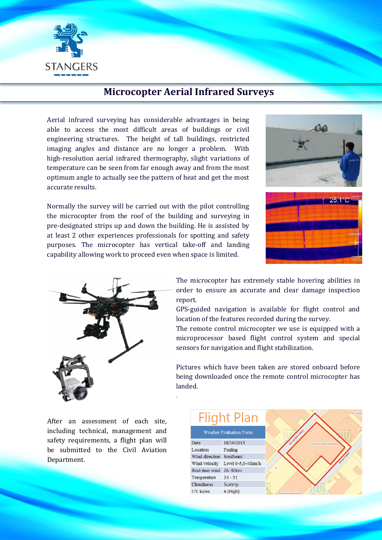

## **Microcopter Aerial Infrared Surveys**

Aerial infrared surveying has considerable advantages in being able to access the most difficult areas of buildings or civil engineering structures. The height of tall buildings, restricted imaging angles and distance are no longer a problem. With high-resolution aerial infrared thermography, slight variations of temperature can be seen from far enough away and from the most optimum angle to actually see the pattern of heat and get the most accurate results.

Normally the survey will be carried out with the pilot controlling the microcopter from the roof of the building and surveying in pre-designated strips up and down the building. He is assisted by at least 2 other experiences professionals for spotting and safety purposes. The microcopter has vertical take-off and landing capability allowing work to proceed even when space is limited.

.





The microcopter has extremely stable hovering abilities in order to ensure an accurate and clear damage inspection report.

GPS-guided navigation is available for flight control and location of the features recorded during the survey.

The remote control microcopter we use is equipped with a microprocessor based flight control system and special sensors for navigation and flight stabilization.

Pictures which have been taken are stored onboard before being downloaded once the remote control microcopter has landed.

After an assessment of each site, including technical, management and safety requirements, a flight plan will be submitted to the Civil Aviation Department.